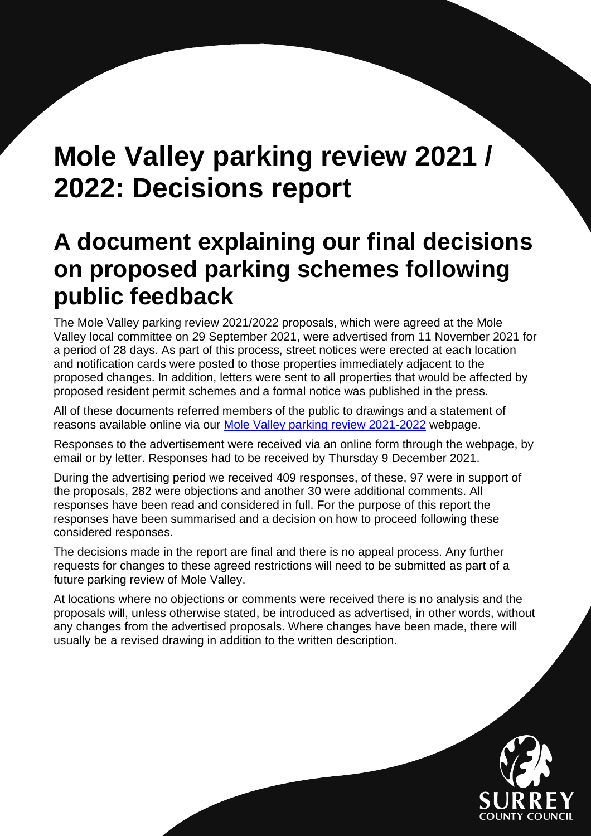# **Mole Valley parking review 2021 / 2022: Decisions report**

# **A document explaining our final decisions on proposed parking schemes following public feedback**

The Mole Valley parking review 2021/2022 proposals, which were agreed at the Mole Valley local committee on 29 September 2021, were advertised from 11 November 2021 for a period of 28 days. As part of this process, street notices were erected at each location and notification cards were posted to those properties immediately adjacent to the proposed changes. In addition, letters were sent to all properties that would be affected by proposed resident permit schemes and a formal notice was published in the press.

All of these documents referred members of the public to drawings and a statement of reasons available online via our [Mole Valley parking review 2021-2022](https://www.surreycc.gov.uk/roads-and-transport/parking/local-news-and-updates/mole-valley/mole-valley-parking-review-2021-2022) webpage.

Responses to the advertisement were received via an online form through the webpage, by email or by letter. Responses had to be received by Thursday 9 December 2021.

During the advertising period we received 409 responses, of these, 97 were in support of the proposals, 282 were objections and another 30 were additional comments. All responses have been read and considered in full. For the purpose of this report the responses have been summarised and a decision on how to proceed following these considered responses.

The decisions made in the report are final and there is no appeal process. Any further requests for changes to these agreed restrictions will need to be submitted as part of a future parking review of Mole Valley.

At locations where no objections or comments were received there is no analysis and the proposals will, unless otherwise stated, be introduced as advertised, in other words, without any changes from the advertised proposals. Where changes have been made, there will usually be a revised drawing in addition to the written description.

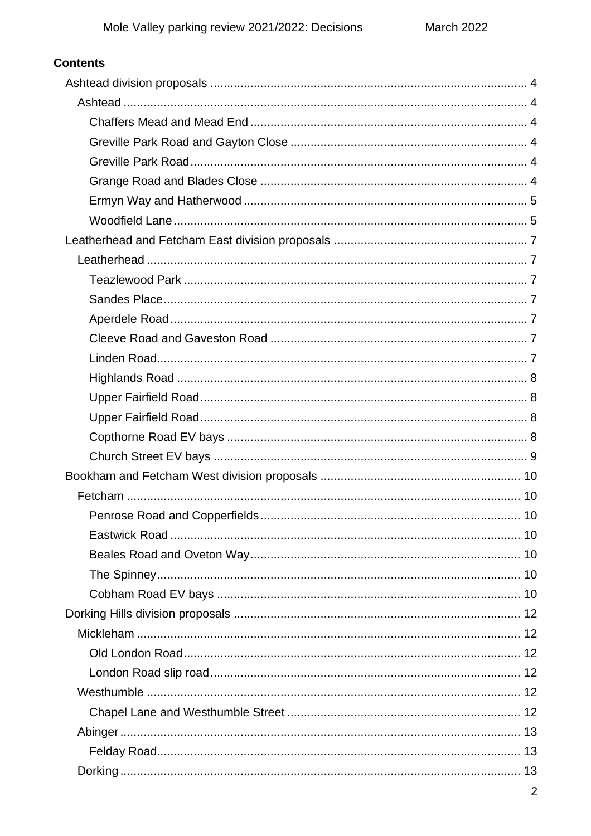| <b>Contents</b> |                |
|-----------------|----------------|
|                 |                |
|                 |                |
|                 |                |
|                 |                |
|                 |                |
|                 |                |
|                 |                |
|                 |                |
|                 |                |
|                 |                |
|                 |                |
|                 |                |
|                 |                |
|                 |                |
|                 |                |
|                 |                |
|                 |                |
|                 |                |
|                 |                |
|                 |                |
|                 |                |
|                 |                |
|                 |                |
|                 |                |
|                 |                |
|                 |                |
|                 |                |
|                 |                |
|                 |                |
|                 |                |
|                 |                |
|                 |                |
|                 |                |
|                 |                |
|                 |                |
|                 |                |
|                 | $\overline{2}$ |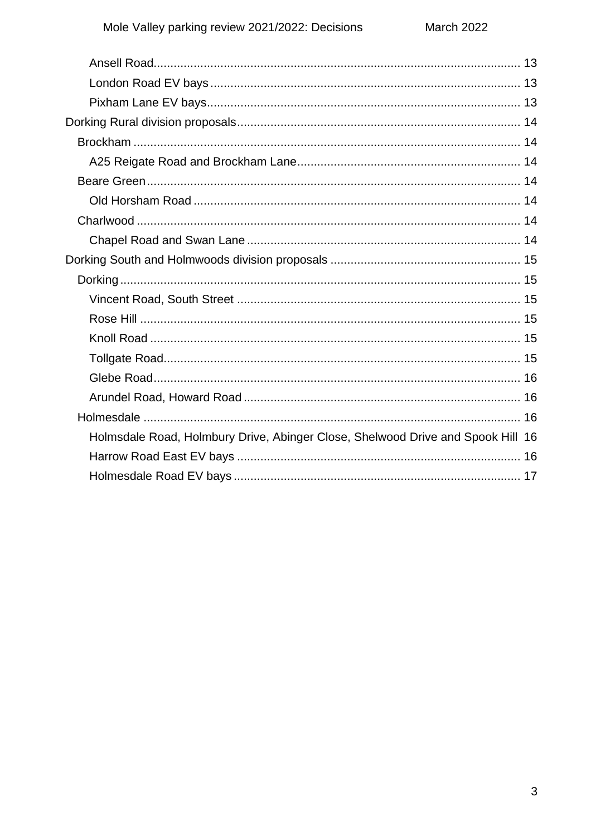| Holmsdale Road, Holmbury Drive, Abinger Close, Shelwood Drive and Spook Hill 16 |  |
|---------------------------------------------------------------------------------|--|
|                                                                                 |  |
|                                                                                 |  |
|                                                                                 |  |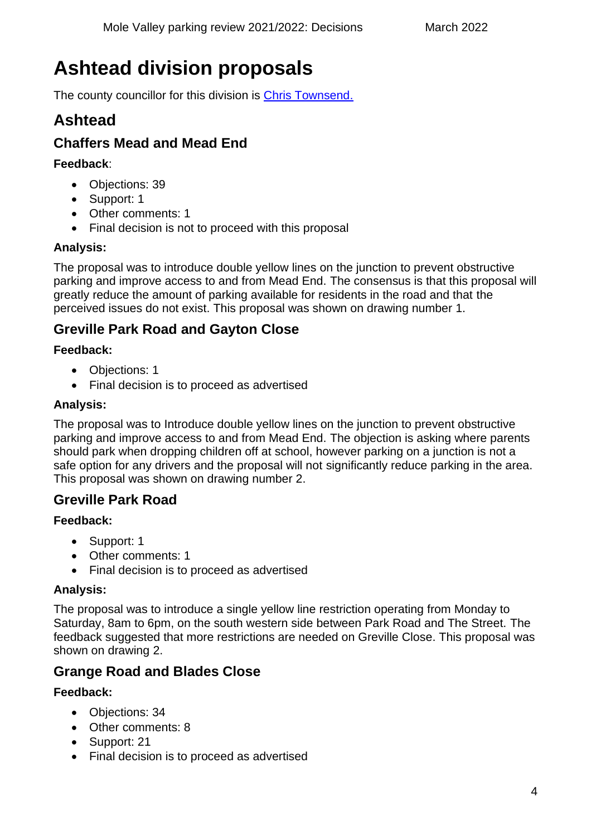# <span id="page-3-0"></span>**Ashtead division proposals**

The county councillor for this division is [Chris Townsend.](https://mycouncil.surreycc.gov.uk/mgUserInfo.aspx?UID=189)

# <span id="page-3-1"></span>**Ashtead**

# <span id="page-3-2"></span>**Chaffers Mead and Mead End**

### **Feedback**:

- Objections: 39
- Support: 1
- Other comments: 1
- Final decision is not to proceed with this proposal

## **Analysis:**

The proposal was to introduce double yellow lines on the junction to prevent obstructive parking and improve access to and from Mead End. The consensus is that this proposal will greatly reduce the amount of parking available for residents in the road and that the perceived issues do not exist. This proposal was shown on drawing number 1.

# <span id="page-3-3"></span>**Greville Park Road and Gayton Close**

## **Feedback:**

- Objections: 1
- Final decision is to proceed as advertised

## **Analysis:**

The proposal was to Introduce double yellow lines on the junction to prevent obstructive parking and improve access to and from Mead End. The objection is asking where parents should park when dropping children off at school, however parking on a junction is not a safe option for any drivers and the proposal will not significantly reduce parking in the area. This proposal was shown on drawing number 2.

# <span id="page-3-4"></span>**Greville Park Road**

### **Feedback:**

- Support: 1
- Other comments: 1
- Final decision is to proceed as advertised

### **Analysis:**

The proposal was to introduce a single yellow line restriction operating from Monday to Saturday, 8am to 6pm, on the south western side between Park Road and The Street. The feedback suggested that more restrictions are needed on Greville Close. This proposal was shown on drawing 2.

# <span id="page-3-5"></span>**Grange Road and Blades Close**

- Objections: 34
- Other comments: 8
- Support: 21
- Final decision is to proceed as advertised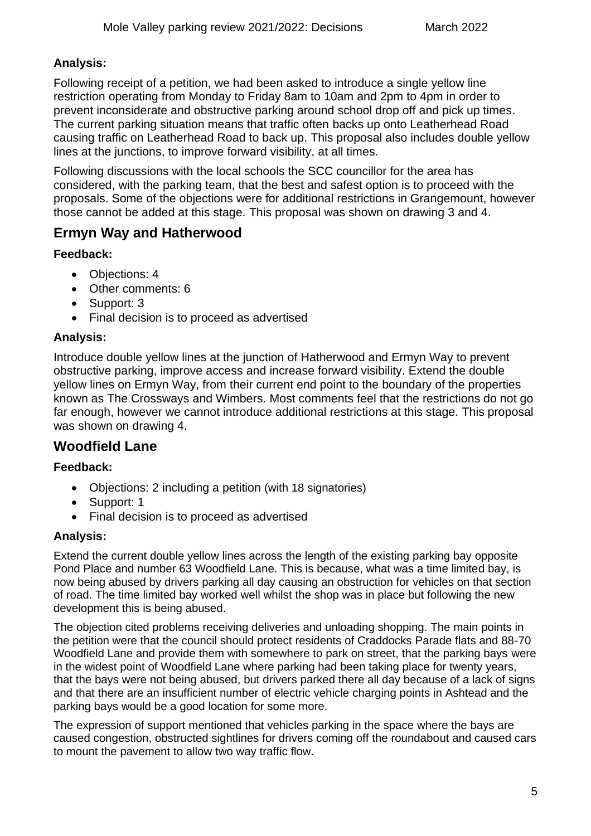### **Analysis:**

Following receipt of a petition, we had been asked to introduce a single yellow line restriction operating from Monday to Friday 8am to 10am and 2pm to 4pm in order to prevent inconsiderate and obstructive parking around school drop off and pick up times. The current parking situation means that traffic often backs up onto Leatherhead Road causing traffic on Leatherhead Road to back up. This proposal also includes double yellow lines at the junctions, to improve forward visibility, at all times.

Following discussions with the local schools the SCC councillor for the area has considered, with the parking team, that the best and safest option is to proceed with the proposals. Some of the objections were for additional restrictions in Grangemount, however those cannot be added at this stage. This proposal was shown on drawing 3 and 4.

# <span id="page-4-0"></span>**Ermyn Way and Hatherwood**

### **Feedback:**

- Objections: 4
- Other comments: 6
- Support: 3
- Final decision is to proceed as advertised

### **Analysis:**

Introduce double yellow lines at the junction of Hatherwood and Ermyn Way to prevent obstructive parking, improve access and increase forward visibility. Extend the double yellow lines on Ermyn Way, from their current end point to the boundary of the properties known as The Crossways and Wimbers. Most comments feel that the restrictions do not go far enough, however we cannot introduce additional restrictions at this stage. This proposal was shown on drawing 4.

# <span id="page-4-1"></span>**Woodfield Lane**

### **Feedback:**

- Objections: 2 including a petition (with 18 signatories)
- Support: 1
- Final decision is to proceed as advertised

### **Analysis:**

Extend the current double yellow lines across the length of the existing parking bay opposite Pond Place and number 63 Woodfield Lane. This is because, what was a time limited bay, is now being abused by drivers parking all day causing an obstruction for vehicles on that section of road. The time limited bay worked well whilst the shop was in place but following the new development this is being abused.

The objection cited problems receiving deliveries and unloading shopping. The main points in the petition were that the council should protect residents of Craddocks Parade flats and 88-70 Woodfield Lane and provide them with somewhere to park on street, that the parking bays were in the widest point of Woodfield Lane where parking had been taking place for twenty years, that the bays were not being abused, but drivers parked there all day because of a lack of signs and that there are an insufficient number of electric vehicle charging points in Ashtead and the parking bays would be a good location for some more.

The expression of support mentioned that vehicles parking in the space where the bays are caused congestion, obstructed sightlines for drivers coming off the roundabout and caused cars to mount the pavement to allow two way traffic flow.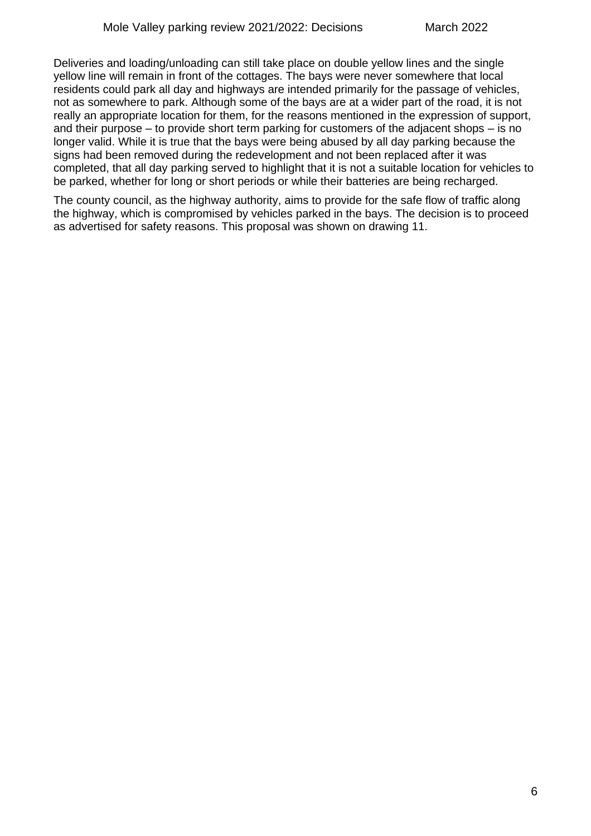Deliveries and loading/unloading can still take place on double yellow lines and the single yellow line will remain in front of the cottages. The bays were never somewhere that local residents could park all day and highways are intended primarily for the passage of vehicles, not as somewhere to park. Although some of the bays are at a wider part of the road, it is not really an appropriate location for them, for the reasons mentioned in the expression of support, and their purpose – to provide short term parking for customers of the adjacent shops – is no longer valid. While it is true that the bays were being abused by all day parking because the signs had been removed during the redevelopment and not been replaced after it was completed, that all day parking served to highlight that it is not a suitable location for vehicles to be parked, whether for long or short periods or while their batteries are being recharged.

The county council, as the highway authority, aims to provide for the safe flow of traffic along the highway, which is compromised by vehicles parked in the bays. The decision is to proceed as advertised for safety reasons. This proposal was shown on drawing 11.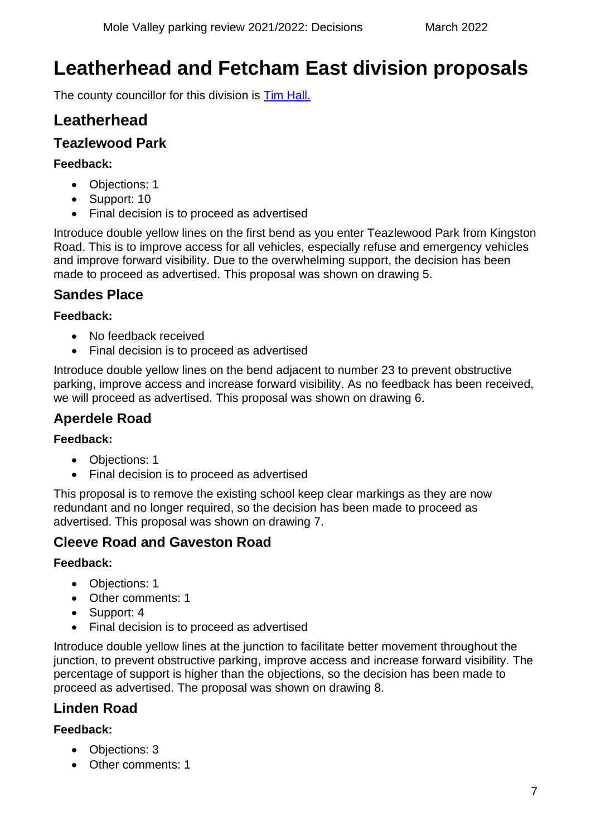# <span id="page-6-0"></span>**Leatherhead and Fetcham East division proposals**

The county councillor for this division is [Tim Hall.](https://mycouncil.surreycc.gov.uk/mgUserInfo.aspx?UID=150)

# <span id="page-6-1"></span>**Leatherhead**

# <span id="page-6-2"></span>**Teazlewood Park**

### **Feedback:**

- Objections: 1
- Support: 10
- Final decision is to proceed as advertised

Introduce double yellow lines on the first bend as you enter Teazlewood Park from Kingston Road. This is to improve access for all vehicles, especially refuse and emergency vehicles and improve forward visibility. Due to the overwhelming support, the decision has been made to proceed as advertised. This proposal was shown on drawing 5.

# <span id="page-6-3"></span>**Sandes Place**

### **Feedback:**

- No feedback received
- Final decision is to proceed as advertised

Introduce double yellow lines on the bend adjacent to number 23 to prevent obstructive parking, improve access and increase forward visibility. As no feedback has been received, we will proceed as advertised. This proposal was shown on drawing 6.

# <span id="page-6-4"></span>**Aperdele Road**

### **Feedback:**

- Objections: 1
- Final decision is to proceed as advertised

This proposal is to remove the existing school keep clear markings as they are now redundant and no longer required, so the decision has been made to proceed as advertised. This proposal was shown on drawing 7.

# <span id="page-6-5"></span>**Cleeve Road and Gaveston Road**

### **Feedback:**

- Objections: 1
- Other comments: 1
- Support: 4
- Final decision is to proceed as advertised

Introduce double yellow lines at the junction to facilitate better movement throughout the junction, to prevent obstructive parking, improve access and increase forward visibility. The percentage of support is higher than the objections, so the decision has been made to proceed as advertised. The proposal was shown on drawing 8.

# <span id="page-6-6"></span>**Linden Road**

- Objections: 3
- Other comments: 1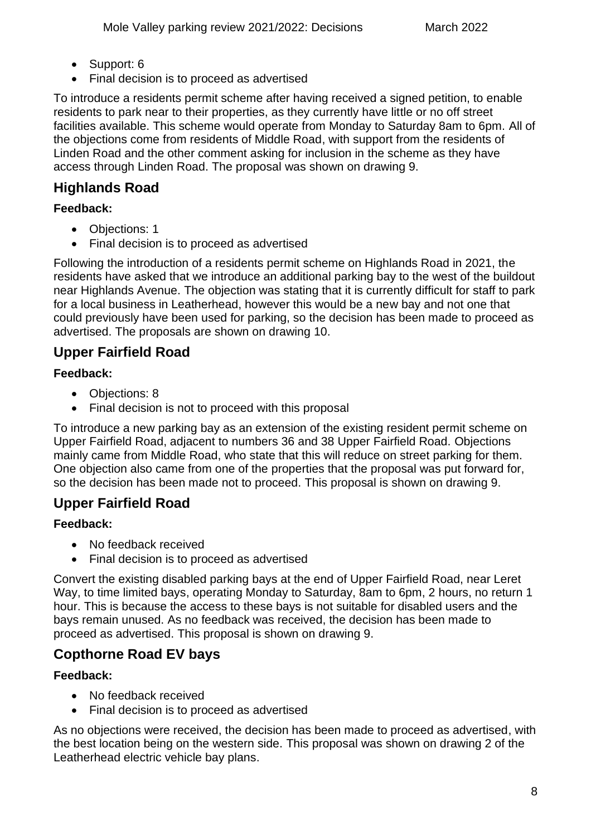- Support: 6
- Final decision is to proceed as advertised

To introduce a residents permit scheme after having received a signed petition, to enable residents to park near to their properties, as they currently have little or no off street facilities available. This scheme would operate from Monday to Saturday 8am to 6pm. All of the objections come from residents of Middle Road, with support from the residents of Linden Road and the other comment asking for inclusion in the scheme as they have access through Linden Road. The proposal was shown on drawing 9.

# <span id="page-7-0"></span>**Highlands Road**

### **Feedback:**

- Objections: 1
- Final decision is to proceed as advertised

Following the introduction of a residents permit scheme on Highlands Road in 2021, the residents have asked that we introduce an additional parking bay to the west of the buildout near Highlands Avenue. The objection was stating that it is currently difficult for staff to park for a local business in Leatherhead, however this would be a new bay and not one that could previously have been used for parking, so the decision has been made to proceed as advertised. The proposals are shown on drawing 10.

# <span id="page-7-1"></span>**Upper Fairfield Road**

### **Feedback:**

- Objections: 8
- Final decision is not to proceed with this proposal

To introduce a new parking bay as an extension of the existing resident permit scheme on Upper Fairfield Road, adjacent to numbers 36 and 38 Upper Fairfield Road. Objections mainly came from Middle Road, who state that this will reduce on street parking for them. One objection also came from one of the properties that the proposal was put forward for, so the decision has been made not to proceed. This proposal is shown on drawing 9.

# <span id="page-7-2"></span>**Upper Fairfield Road**

### **Feedback:**

- No feedback received
- Final decision is to proceed as advertised

Convert the existing disabled parking bays at the end of Upper Fairfield Road, near Leret Way, to time limited bays, operating Monday to Saturday, 8am to 6pm, 2 hours, no return 1 hour. This is because the access to these bays is not suitable for disabled users and the bays remain unused. As no feedback was received, the decision has been made to proceed as advertised. This proposal is shown on drawing 9.

# <span id="page-7-3"></span>**Copthorne Road EV bays**

### **Feedback:**

- No feedback received
- Final decision is to proceed as advertised

As no objections were received, the decision has been made to proceed as advertised, with the best location being on the western side. This proposal was shown on drawing 2 of the Leatherhead electric vehicle bay plans.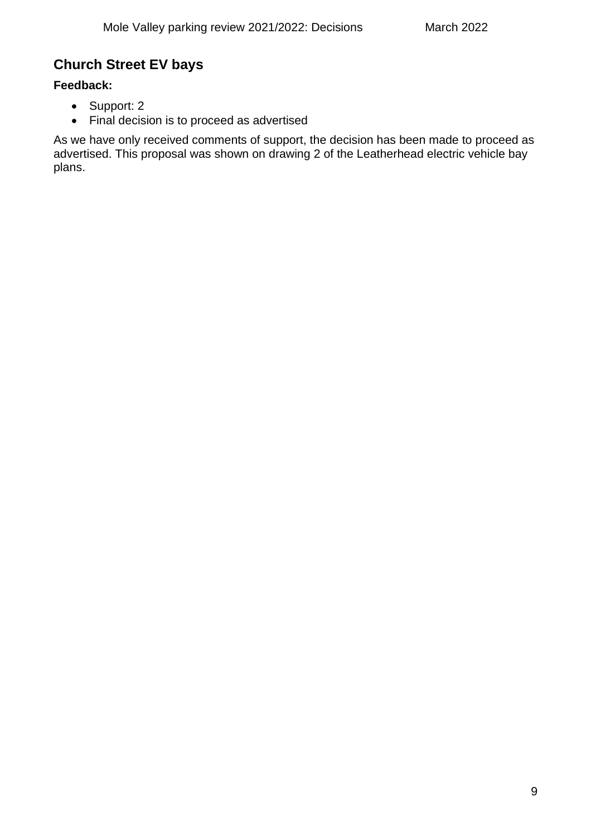# <span id="page-8-0"></span>**Church Street EV bays**

### **Feedback:**

- Support: 2
- Final decision is to proceed as advertised

As we have only received comments of support, the decision has been made to proceed as advertised. This proposal was shown on drawing 2 of the Leatherhead electric vehicle bay plans.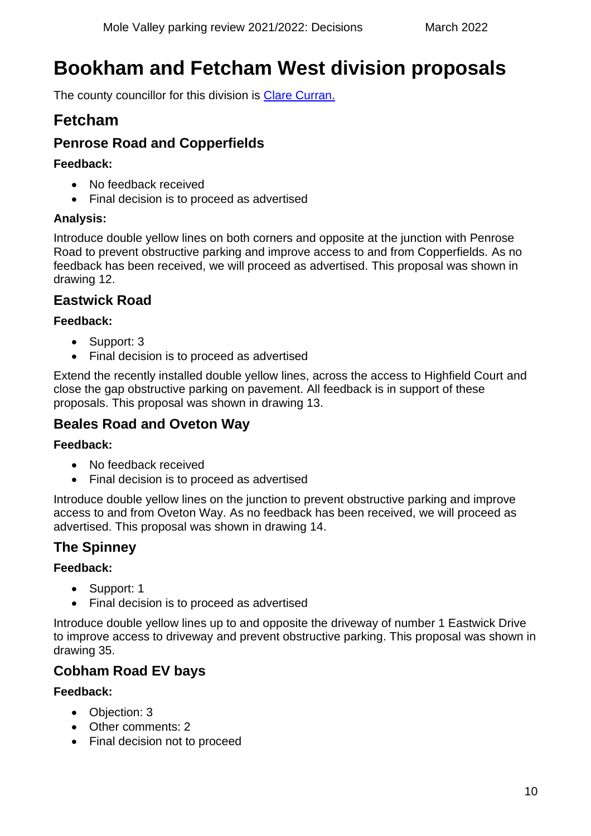# <span id="page-9-0"></span>**Bookham and Fetcham West division proposals**

The county councillor for this division is [Clare Curran.](https://mycouncil.surreycc.gov.uk/mgUserInfo.aspx?UID=135)

# <span id="page-9-1"></span>**Fetcham**

# <span id="page-9-2"></span>**Penrose Road and Copperfields**

### **Feedback:**

- No feedback received
- Final decision is to proceed as advertised

## **Analysis:**

Introduce double yellow lines on both corners and opposite at the junction with Penrose Road to prevent obstructive parking and improve access to and from Copperfields. As no feedback has been received, we will proceed as advertised. This proposal was shown in drawing 12.

# <span id="page-9-3"></span>**Eastwick Road**

### **Feedback:**

- Support: 3
- Final decision is to proceed as advertised

Extend the recently installed double yellow lines, across the access to Highfield Court and close the gap obstructive parking on pavement. All feedback is in support of these proposals. This proposal was shown in drawing 13.

# <span id="page-9-4"></span>**Beales Road and Oveton Way**

### **Feedback:**

- No feedback received
- Final decision is to proceed as advertised

Introduce double yellow lines on the junction to prevent obstructive parking and improve access to and from Oveton Way. As no feedback has been received, we will proceed as advertised. This proposal was shown in drawing 14.

# <span id="page-9-5"></span>**The Spinney**

### **Feedback:**

- Support: 1
- Final decision is to proceed as advertised

Introduce double yellow lines up to and opposite the driveway of number 1 Eastwick Drive to improve access to driveway and prevent obstructive parking. This proposal was shown in drawing 35.

# <span id="page-9-6"></span>**Cobham Road EV bays**

- Objection: 3
- Other comments: 2
- Final decision not to proceed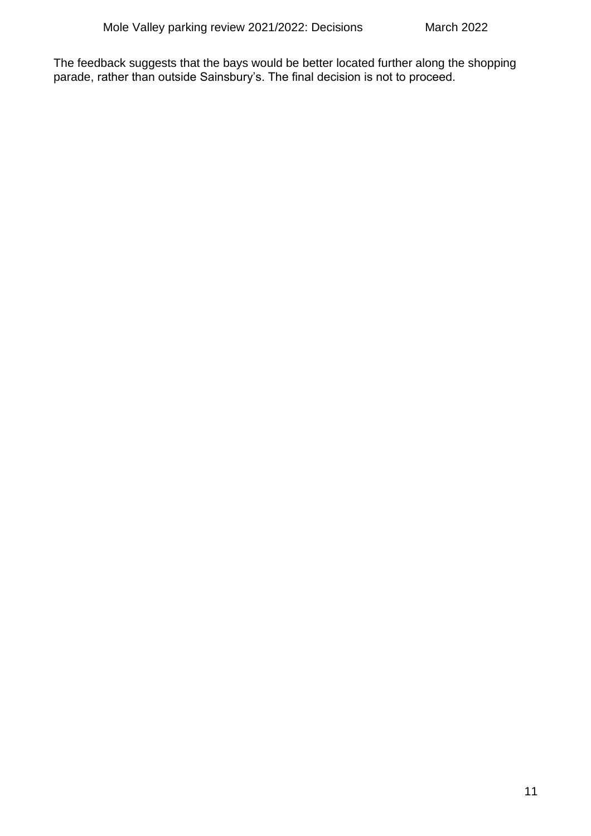The feedback suggests that the bays would be better located further along the shopping parade, rather than outside Sainsbury's. The final decision is not to proceed.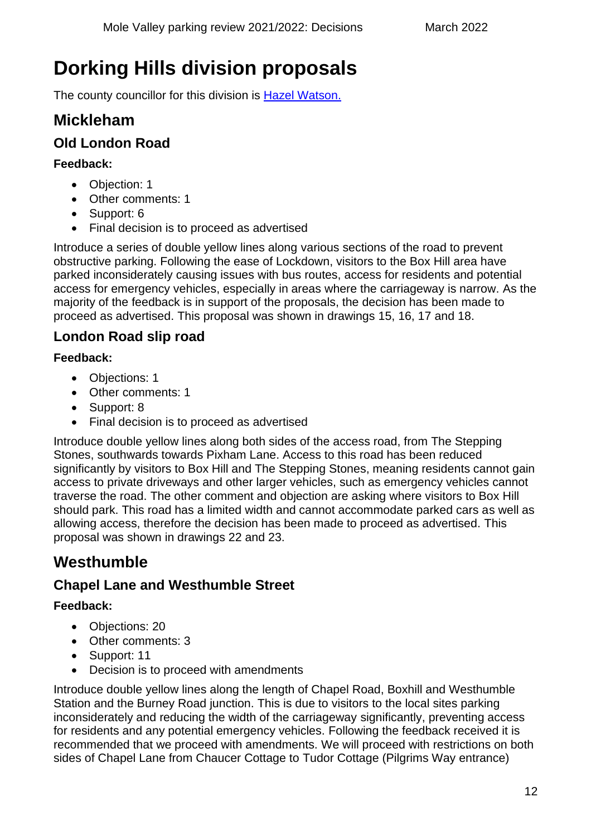# <span id="page-11-0"></span>**Dorking Hills division proposals**

The county councillor for this division is [Hazel Watson.](https://mycouncil.surreycc.gov.uk/mgUserInfo.aspx?UID=192)

# <span id="page-11-1"></span>**Mickleham**

# <span id="page-11-2"></span>**Old London Road**

### **Feedback:**

- Objection: 1
- Other comments: 1
- Support: 6
- Final decision is to proceed as advertised

Introduce a series of double yellow lines along various sections of the road to prevent obstructive parking. Following the ease of Lockdown, visitors to the Box Hill area have parked inconsiderately causing issues with bus routes, access for residents and potential access for emergency vehicles, especially in areas where the carriageway is narrow. As the majority of the feedback is in support of the proposals, the decision has been made to proceed as advertised. This proposal was shown in drawings 15, 16, 17 and 18.

# <span id="page-11-3"></span>**London Road slip road**

### **Feedback:**

- Objections: 1
- Other comments: 1
- Support: 8
- Final decision is to proceed as advertised

Introduce double yellow lines along both sides of the access road, from The Stepping Stones, southwards towards Pixham Lane. Access to this road has been reduced significantly by visitors to Box Hill and The Stepping Stones, meaning residents cannot gain access to private driveways and other larger vehicles, such as emergency vehicles cannot traverse the road. The other comment and objection are asking where visitors to Box Hill should park. This road has a limited width and cannot accommodate parked cars as well as allowing access, therefore the decision has been made to proceed as advertised. This proposal was shown in drawings 22 and 23.

# <span id="page-11-4"></span>**Westhumble**

# <span id="page-11-5"></span>**Chapel Lane and Westhumble Street**

# **Feedback:**

- Objections: 20
- Other comments: 3
- Support: 11
- Decision is to proceed with amendments

Introduce double yellow lines along the length of Chapel Road, Boxhill and Westhumble Station and the Burney Road junction. This is due to visitors to the local sites parking inconsiderately and reducing the width of the carriageway significantly, preventing access for residents and any potential emergency vehicles. Following the feedback received it is recommended that we proceed with amendments. We will proceed with restrictions on both sides of Chapel Lane from Chaucer Cottage to Tudor Cottage (Pilgrims Way entrance)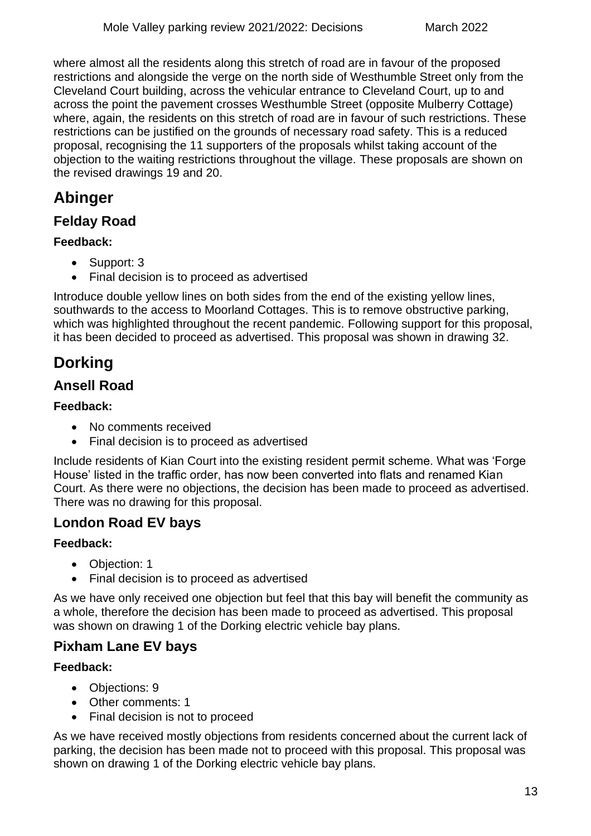where almost all the residents along this stretch of road are in favour of the proposed restrictions and alongside the verge on the north side of Westhumble Street only from the Cleveland Court building, across the vehicular entrance to Cleveland Court, up to and across the point the pavement crosses Westhumble Street (opposite Mulberry Cottage) where, again, the residents on this stretch of road are in favour of such restrictions. These restrictions can be justified on the grounds of necessary road safety. This is a reduced proposal, recognising the 11 supporters of the proposals whilst taking account of the objection to the waiting restrictions throughout the village. These proposals are shown on the revised drawings 19 and 20.

# <span id="page-12-0"></span>**Abinger**

# <span id="page-12-1"></span>**Felday Road**

### **Feedback:**

- Support: 3
- Final decision is to proceed as advertised

Introduce double yellow lines on both sides from the end of the existing yellow lines, southwards to the access to Moorland Cottages. This is to remove obstructive parking, which was highlighted throughout the recent pandemic. Following support for this proposal, it has been decided to proceed as advertised. This proposal was shown in drawing 32.

# <span id="page-12-2"></span>**Dorking**

## <span id="page-12-3"></span>**Ansell Road**

### **Feedback:**

- No comments received
- Final decision is to proceed as advertised

Include residents of Kian Court into the existing resident permit scheme. What was 'Forge House' listed in the traffic order, has now been converted into flats and renamed Kian Court. As there were no objections, the decision has been made to proceed as advertised. There was no drawing for this proposal.

# <span id="page-12-4"></span>**London Road EV bays**

### **Feedback:**

- Objection: 1
- Final decision is to proceed as advertised

As we have only received one objection but feel that this bay will benefit the community as a whole, therefore the decision has been made to proceed as advertised. This proposal was shown on drawing 1 of the Dorking electric vehicle bay plans.

# <span id="page-12-5"></span>**Pixham Lane EV bays**

### **Feedback:**

- Objections: 9
- Other comments: 1
- Final decision is not to proceed

As we have received mostly objections from residents concerned about the current lack of parking, the decision has been made not to proceed with this proposal. This proposal was shown on drawing 1 of the Dorking electric vehicle bay plans.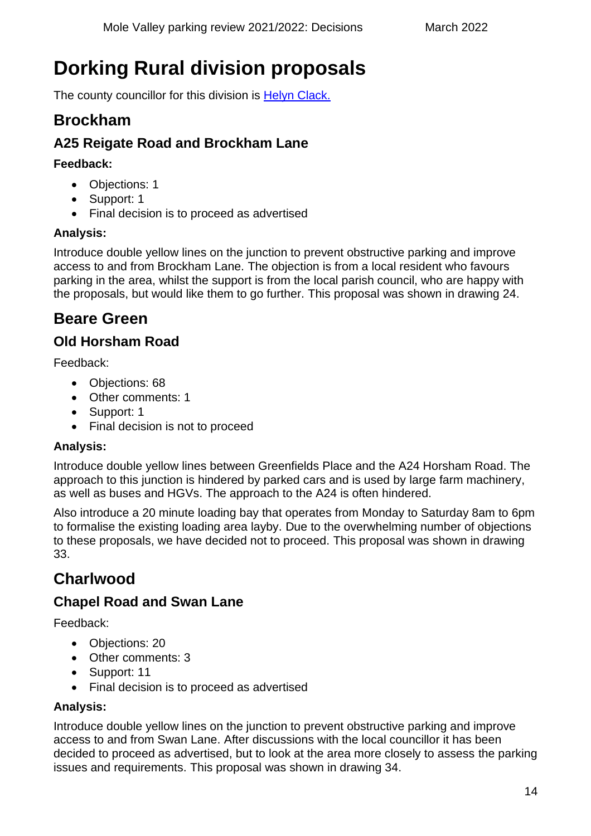# <span id="page-13-0"></span>**Dorking Rural division proposals**

The county councillor for this division is [Helyn Clack.](https://mycouncil.surreycc.gov.uk/mgUserInfo.aspx?UID=130)

# <span id="page-13-1"></span>**Brockham**

# <span id="page-13-2"></span>**A25 Reigate Road and Brockham Lane**

### **Feedback:**

- Objections: 1
- Support: 1
- Final decision is to proceed as advertised

### **Analysis:**

Introduce double yellow lines on the junction to prevent obstructive parking and improve access to and from Brockham Lane. The objection is from a local resident who favours parking in the area, whilst the support is from the local parish council, who are happy with the proposals, but would like them to go further. This proposal was shown in drawing 24.

# <span id="page-13-3"></span>**Beare Green**

# <span id="page-13-4"></span>**Old Horsham Road**

Feedback:

- Objections: 68
- Other comments: 1
- Support: 1
- Final decision is not to proceed

### **Analysis:**

Introduce double yellow lines between Greenfields Place and the A24 Horsham Road. The approach to this junction is hindered by parked cars and is used by large farm machinery, as well as buses and HGVs. The approach to the A24 is often hindered.

Also introduce a 20 minute loading bay that operates from Monday to Saturday 8am to 6pm to formalise the existing loading area layby. Due to the overwhelming number of objections to these proposals, we have decided not to proceed. This proposal was shown in drawing 33.

# <span id="page-13-5"></span>**Charlwood**

# <span id="page-13-6"></span>**Chapel Road and Swan Lane**

Feedback:

- Objections: 20
- Other comments: 3
- Support: 11
- Final decision is to proceed as advertised

### **Analysis:**

Introduce double yellow lines on the junction to prevent obstructive parking and improve access to and from Swan Lane. After discussions with the local councillor it has been decided to proceed as advertised, but to look at the area more closely to assess the parking issues and requirements. This proposal was shown in drawing 34.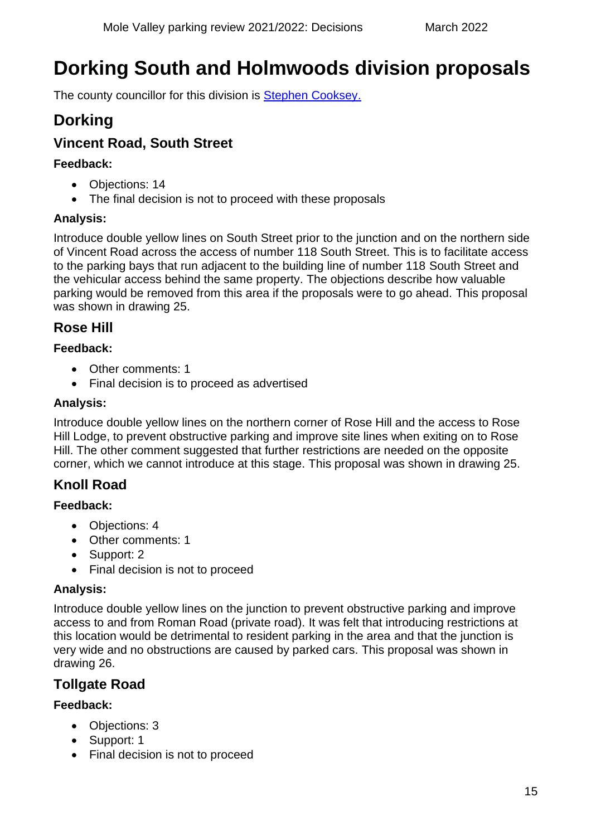# <span id="page-14-0"></span>**Dorking South and Holmwoods division proposals**

The county councillor for this division is [Stephen Cooksey.](https://mycouncil.surreycc.gov.uk/mgUserInfo.aspx?UID=132)

# <span id="page-14-1"></span>**Dorking**

# <span id="page-14-2"></span>**Vincent Road, South Street**

### **Feedback:**

- Objections: 14
- The final decision is not to proceed with these proposals

### **Analysis:**

Introduce double yellow lines on South Street prior to the junction and on the northern side of Vincent Road across the access of number 118 South Street. This is to facilitate access to the parking bays that run adjacent to the building line of number 118 South Street and the vehicular access behind the same property. The objections describe how valuable parking would be removed from this area if the proposals were to go ahead. This proposal was shown in drawing 25.

# <span id="page-14-3"></span>**Rose Hill**

### **Feedback:**

- Other comments: 1
- Final decision is to proceed as advertised

### **Analysis:**

Introduce double yellow lines on the northern corner of Rose Hill and the access to Rose Hill Lodge, to prevent obstructive parking and improve site lines when exiting on to Rose Hill. The other comment suggested that further restrictions are needed on the opposite corner, which we cannot introduce at this stage. This proposal was shown in drawing 25.

# <span id="page-14-4"></span>**Knoll Road**

### **Feedback:**

- Objections: 4
- Other comments: 1
- Support: 2
- Final decision is not to proceed

### **Analysis:**

Introduce double yellow lines on the junction to prevent obstructive parking and improve access to and from Roman Road (private road). It was felt that introducing restrictions at this location would be detrimental to resident parking in the area and that the junction is very wide and no obstructions are caused by parked cars. This proposal was shown in drawing 26.

# <span id="page-14-5"></span>**Tollgate Road**

- Objections: 3
- Support: 1
- Final decision is not to proceed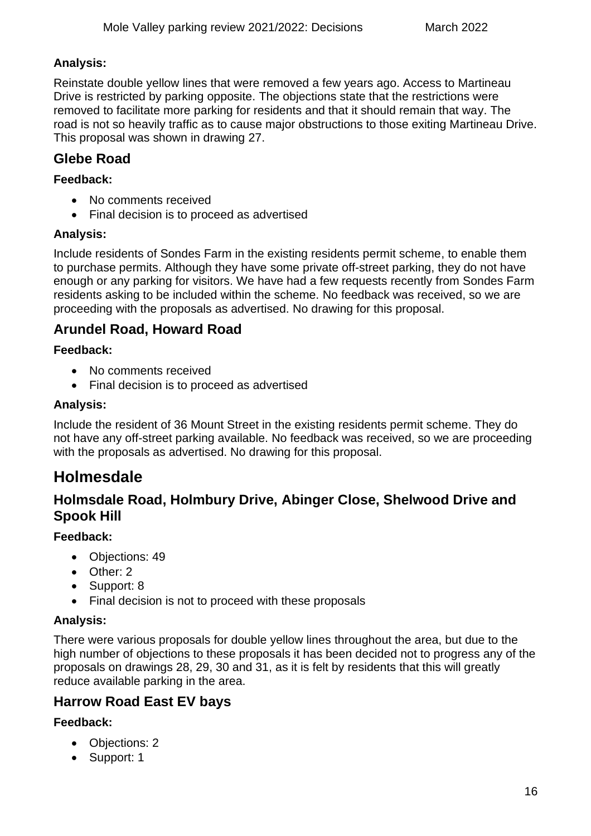### **Analysis:**

Reinstate double yellow lines that were removed a few years ago. Access to Martineau Drive is restricted by parking opposite. The objections state that the restrictions were removed to facilitate more parking for residents and that it should remain that way. The road is not so heavily traffic as to cause major obstructions to those exiting Martineau Drive. This proposal was shown in drawing 27.

# <span id="page-15-0"></span>**Glebe Road**

### **Feedback:**

- No comments received
- Final decision is to proceed as advertised

### **Analysis:**

Include residents of Sondes Farm in the existing residents permit scheme, to enable them to purchase permits. Although they have some private off-street parking, they do not have enough or any parking for visitors. We have had a few requests recently from Sondes Farm residents asking to be included within the scheme. No feedback was received, so we are proceeding with the proposals as advertised. No drawing for this proposal.

# <span id="page-15-1"></span>**Arundel Road, Howard Road**

### **Feedback:**

- No comments received
- Final decision is to proceed as advertised

### **Analysis:**

Include the resident of 36 Mount Street in the existing residents permit scheme. They do not have any off-street parking available. No feedback was received, so we are proceeding with the proposals as advertised. No drawing for this proposal.

# <span id="page-15-2"></span>**Holmesdale**

# <span id="page-15-3"></span>**Holmsdale Road, Holmbury Drive, Abinger Close, Shelwood Drive and Spook Hill**

### **Feedback:**

- Objections: 49
- Other: 2
- Support: 8
- Final decision is not to proceed with these proposals

### **Analysis:**

There were various proposals for double yellow lines throughout the area, but due to the high number of objections to these proposals it has been decided not to progress any of the proposals on drawings 28, 29, 30 and 31, as it is felt by residents that this will greatly reduce available parking in the area.

# <span id="page-15-4"></span>**Harrow Road East EV bays**

- Objections: 2
- Support: 1